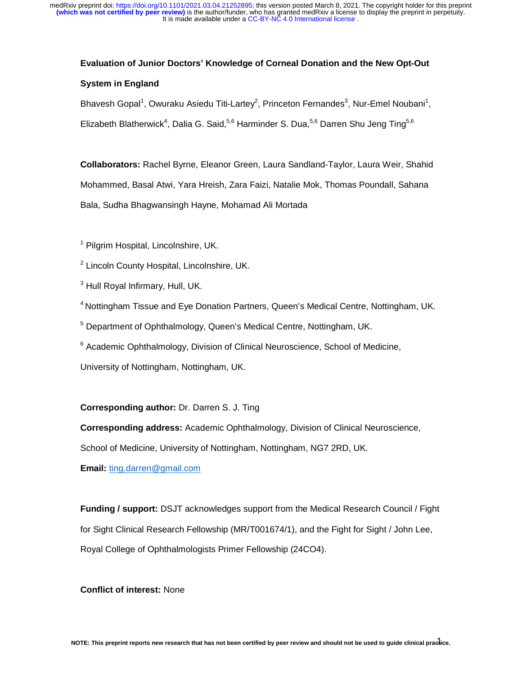# **Evaluation of Junior Doctors' Knowledge of Corneal Donation and the New Opt-Out**

# **System in England**

Bhavesh Gopal<sup>1</sup>, Owuraku Asiedu Titi-Lartey<sup>2</sup>, Princeton Fernandes<sup>3</sup>, Nur-Emel Noubani<sup>1</sup>, Elizabeth Blatherwick<sup>4</sup>, Dalia G. Said,<sup>5,6</sup> Harminder S. Dua,<sup>5,6</sup> Darren Shu Jeng Ting<sup>5,6</sup>

**Collaborators:** Rachel Byrne, Eleanor Green, Laura Sandland-Taylor, Laura Weir, Shahid Mohammed, Basal Atwi, Yara Hreish, Zara Faizi, Natalie Mok, Thomas Poundall, Sahana Bala, Sudha Bhagwansingh Hayne, Mohamad Ali Mortada

<sup>1</sup> Pilgrim Hospital, Lincolnshire, UK.

<sup>2</sup> Lincoln County Hospital, Lincolnshire, UK.

<sup>3</sup> Hull Royal Infirmary, Hull, UK.

4 Nottingham Tissue and Eye Donation Partners, Queen's Medical Centre, Nottingham, UK.

<sup>5</sup> Department of Ophthalmology, Queen's Medical Centre, Nottingham, UK.

<sup>6</sup> Academic Ophthalmology, Division of Clinical Neuroscience, School of Medicine,

University of Nottingham, Nottingham, UK.

# **Corresponding author:** Dr. Darren S. J. Ting

**Corresponding address:** Academic Ophthalmology, Division of Clinical Neuroscience,

School of Medicine, University of Nottingham, Nottingham, NG7 2RD, UK.

**Email:** ting.darren@gmail.com

**Funding / support:** DSJT acknowledges support from the Medical Research Council / Fight for Sight Clinical Research Fellowship (MR/T001674/1), and the Fight for Sight / John Lee, Royal College of Ophthalmologists Primer Fellowship (24CO4).

# **Conflict of interest:** None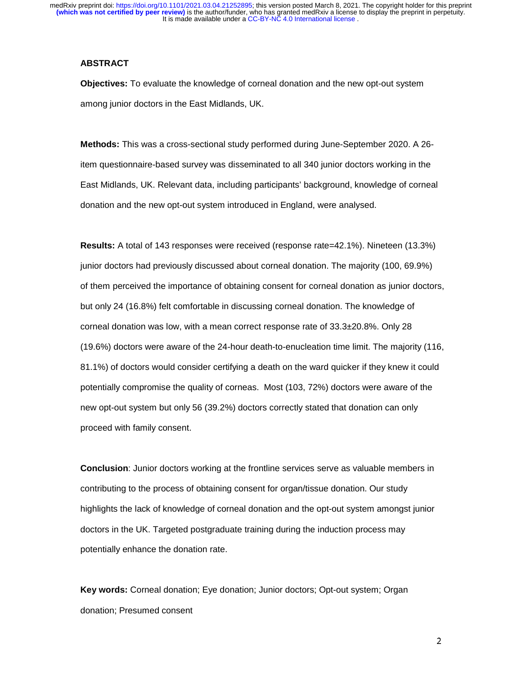#### **ABSTRACT**

**Objectives:** To evaluate the knowledge of corneal donation and the new opt-out system among junior doctors in the East Midlands, UK.

**Methods:** This was a cross-sectional study performed during June-September 2020. A 26 item questionnaire-based survey was disseminated to all 340 junior doctors working in the East Midlands, UK. Relevant data, including participants' background, knowledge of corneal donation and the new opt-out system introduced in England, were analysed.

**Results:** A total of 143 responses were received (response rate=42.1%). Nineteen (13.3%) junior doctors had previously discussed about corneal donation. The majority (100, 69.9%) of them perceived the importance of obtaining consent for corneal donation as junior doctors, but only 24 (16.8%) felt comfortable in discussing corneal donation. The knowledge of corneal donation was low, with a mean correct response rate of 33.3±20.8%. Only 28 (19.6%) doctors were aware of the 24-hour death-to-enucleation time limit. The majority (116, 81.1%) of doctors would consider certifying a death on the ward quicker if they knew it could potentially compromise the quality of corneas. Most (103, 72%) doctors were aware of the new opt-out system but only 56 (39.2%) doctors correctly stated that donation can only proceed with family consent.

**Conclusion**: Junior doctors working at the frontline services serve as valuable members in contributing to the process of obtaining consent for organ/tissue donation. Our study highlights the lack of knowledge of corneal donation and the opt-out system amongst junior doctors in the UK. Targeted postgraduate training during the induction process may potentially enhance the donation rate.

**Key words:** Corneal donation; Eye donation; Junior doctors; Opt-out system; Organ donation; Presumed consent

and the contract of the contract of the contract of the contract of the contract of the contract of the contract of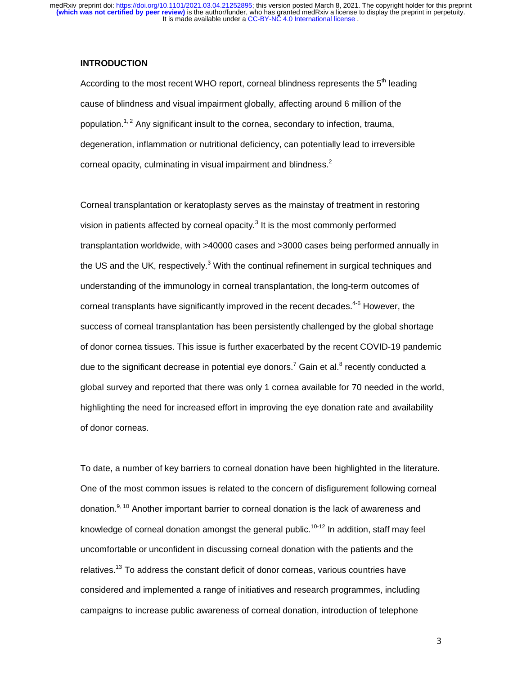#### **INTRODUCTION**

According to the most recent WHO report, corneal blindness represents the  $5<sup>th</sup>$  leading cause of blindness and visual impairment globally, affecting around 6 million of the population.<sup>1, 2</sup> Any significant insult to the cornea, secondary to infection, trauma, degeneration, inflammation or nutritional deficiency, can potentially lead to irreversible corneal opacity, culminating in visual impairment and blindness. $2$ 

Corneal transplantation or keratoplasty serves as the mainstay of treatment in restoring vision in patients affected by corneal opacity. $3$  It is the most commonly performed transplantation worldwide, with >40000 cases and >3000 cases being performed annually in the US and the UK, respectively. $3$  With the continual refinement in surgical techniques and understanding of the immunology in corneal transplantation, the long-term outcomes of corneal transplants have significantly improved in the recent decades.4-6 However, the success of corneal transplantation has been persistently challenged by the global shortage of donor cornea tissues. This issue is further exacerbated by the recent COVID-19 pandemic due to the significant decrease in potential eye donors.<sup>7</sup> Gain et al.<sup>8</sup> recently conducted a global survey and reported that there was only 1 cornea available for 70 needed in the world, highlighting the need for increased effort in improving the eye donation rate and availability of donor corneas.

To date, a number of key barriers to corneal donation have been highlighted in the literature. One of the most common issues is related to the concern of disfigurement following corneal donation.<sup>9, 10</sup> Another important barrier to corneal donation is the lack of awareness and knowledge of corneal donation amongst the general public.<sup>10-12</sup> In addition, staff may feel uncomfortable or unconfident in discussing corneal donation with the patients and the relatives.<sup>13</sup> To address the constant deficit of donor corneas, various countries have considered and implemented a range of initiatives and research programmes, including campaigns to increase public awareness of corneal donation, introduction of telephone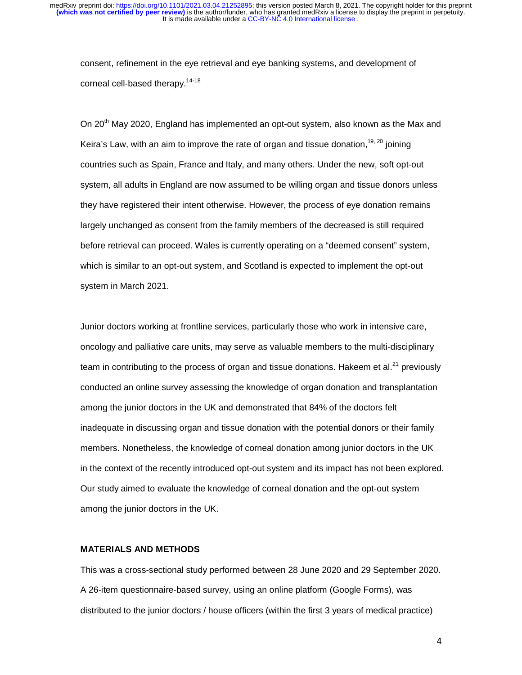consent, refinement in the eye retrieval and eye banking systems, and development of corneal cell-based therapy.<sup>14-18</sup>

On 20<sup>th</sup> May 2020, England has implemented an opt-out system, also known as the Max and Keira's Law, with an aim to improve the rate of organ and tissue donation,  $19, 20$  joining countries such as Spain, France and Italy, and many others. Under the new, soft opt-out system, all adults in England are now assumed to be willing organ and tissue donors unless they have registered their intent otherwise. However, the process of eye donation remains largely unchanged as consent from the family members of the decreased is still required before retrieval can proceed. Wales is currently operating on a "deemed consent" system, which is similar to an opt-out system, and Scotland is expected to implement the opt-out system in March 2021.

Junior doctors working at frontline services, particularly those who work in intensive care, oncology and palliative care units, may serve as valuable members to the multi-disciplinary team in contributing to the process of organ and tissue donations. Hakeem et al. $^{21}$  previously conducted an online survey assessing the knowledge of organ donation and transplantation among the junior doctors in the UK and demonstrated that 84% of the doctors felt inadequate in discussing organ and tissue donation with the potential donors or their family members. Nonetheless, the knowledge of corneal donation among junior doctors in the UK in the context of the recently introduced opt-out system and its impact has not been explored. Our study aimed to evaluate the knowledge of corneal donation and the opt-out system among the junior doctors in the UK.

# **MATERIALS AND METHODS**

This was a cross-sectional study performed between 28 June 2020 and 29 September 2020. A 26-item questionnaire-based survey, using an online platform (Google Forms), was distributed to the junior doctors / house officers (within the first 3 years of medical practice)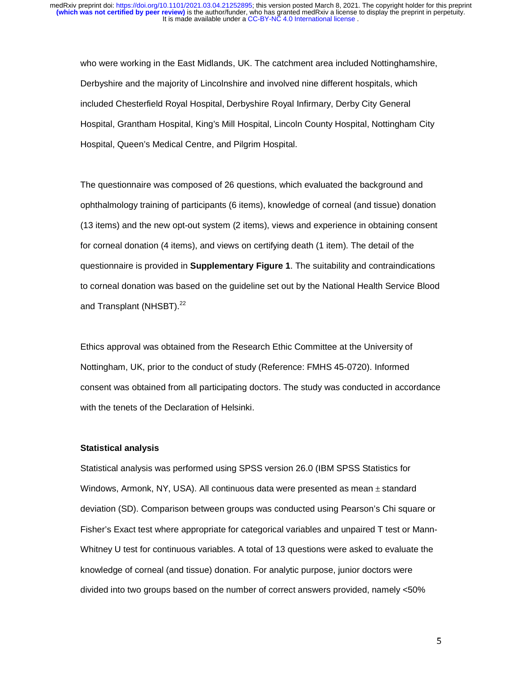who were working in the East Midlands, UK. The catchment area included Nottinghamshire, Derbyshire and the majority of Lincolnshire and involved nine different hospitals, which included Chesterfield Royal Hospital, Derbyshire Royal Infirmary, Derby City General Hospital, Grantham Hospital, King's Mill Hospital, Lincoln County Hospital, Nottingham City Hospital, Queen's Medical Centre, and Pilgrim Hospital.

The questionnaire was composed of 26 questions, which evaluated the background and ophthalmology training of participants (6 items), knowledge of corneal (and tissue) donation (13 items) and the new opt-out system (2 items), views and experience in obtaining consent for corneal donation (4 items), and views on certifying death (1 item). The detail of the questionnaire is provided in **Supplementary Figure 1**. The suitability and contraindications to corneal donation was based on the guideline set out by the National Health Service Blood and Transplant (NHSBT).<sup>22</sup>

Ethics approval was obtained from the Research Ethic Committee at the University of Nottingham, UK, prior to the conduct of study (Reference: FMHS 45-0720). Informed consent was obtained from all participating doctors. The study was conducted in accordance with the tenets of the Declaration of Helsinki.

#### **Statistical analysis**

Statistical analysis was performed using SPSS version 26.0 (IBM SPSS Statistics for Windows, Armonk, NY, USA). All continuous data were presented as mean  $\pm$  standard deviation (SD). Comparison between groups was conducted using Pearson's Chi square or Fisher's Exact test where appropriate for categorical variables and unpaired T test or Mann-Whitney U test for continuous variables. A total of 13 questions were asked to evaluate the knowledge of corneal (and tissue) donation. For analytic purpose, junior doctors were divided into two groups based on the number of correct answers provided, namely <50%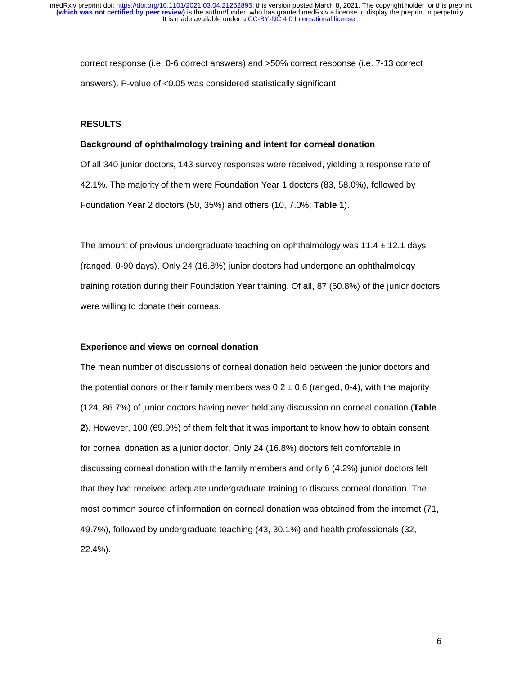correct response (i.e. 0-6 correct answers) and >50% correct response (i.e. 7-13 correct answers). P-value of <0.05 was considered statistically significant.

#### **RESULTS**

#### **Background of ophthalmology training and intent for corneal donation**

Of all 340 junior doctors, 143 survey responses were received, yielding a response rate of 42.1%. The majority of them were Foundation Year 1 doctors (83, 58.0%), followed by Foundation Year 2 doctors (50, 35%) and others (10, 7.0%; **Table 1**).

The amount of previous undergraduate teaching on ophthalmology was  $11.4 \pm 12.1$  days (ranged, 0-90 days). Only 24 (16.8%) junior doctors had undergone an ophthalmology training rotation during their Foundation Year training. Of all, 87 (60.8%) of the junior doctors were willing to donate their corneas.

# **Experience and views on corneal donation**

The mean number of discussions of corneal donation held between the junior doctors and the potential donors or their family members was  $0.2 \pm 0.6$  (ranged, 0-4), with the majority (124, 86.7%) of junior doctors having never held any discussion on corneal donation (**Table 2**). However, 100 (69.9%) of them felt that it was important to know how to obtain consent for corneal donation as a junior doctor. Only 24 (16.8%) doctors felt comfortable in discussing corneal donation with the family members and only 6 (4.2%) junior doctors felt that they had received adequate undergraduate training to discuss corneal donation. The most common source of information on corneal donation was obtained from the internet (71, 49.7%), followed by undergraduate teaching (43, 30.1%) and health professionals (32, 22.4%).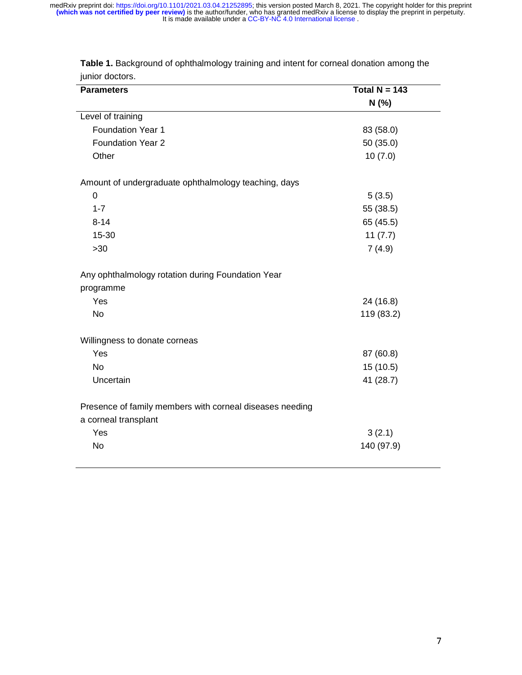| <b>Parameters</b>                                                                | Total $N = 143$ |
|----------------------------------------------------------------------------------|-----------------|
|                                                                                  | N(%             |
| Level of training                                                                |                 |
| <b>Foundation Year 1</b>                                                         | 83 (58.0)       |
| <b>Foundation Year 2</b>                                                         | 50 (35.0)       |
| Other                                                                            | 10(7.0)         |
| Amount of undergraduate ophthalmology teaching, days                             |                 |
| 0                                                                                | 5(3.5)          |
| $1 - 7$                                                                          | 55 (38.5)       |
| $8 - 14$                                                                         | 65 (45.5)       |
| 15-30                                                                            | 11(7.7)         |
| $>30$                                                                            | 7(4.9)          |
| Any ophthalmology rotation during Foundation Year                                |                 |
| programme                                                                        |                 |
| Yes                                                                              | 24 (16.8)       |
| <b>No</b>                                                                        | 119 (83.2)      |
| Willingness to donate corneas                                                    |                 |
| Yes                                                                              | 87 (60.8)       |
| No                                                                               | 15 (10.5)       |
| Uncertain                                                                        | 41 (28.7)       |
| Presence of family members with corneal diseases needing<br>a corneal transplant |                 |
| Yes                                                                              | 3(2.1)          |
| <b>No</b>                                                                        | 140 (97.9)      |

**Table 1.** Background of ophthalmology training and intent for corneal donation among the junior doctors.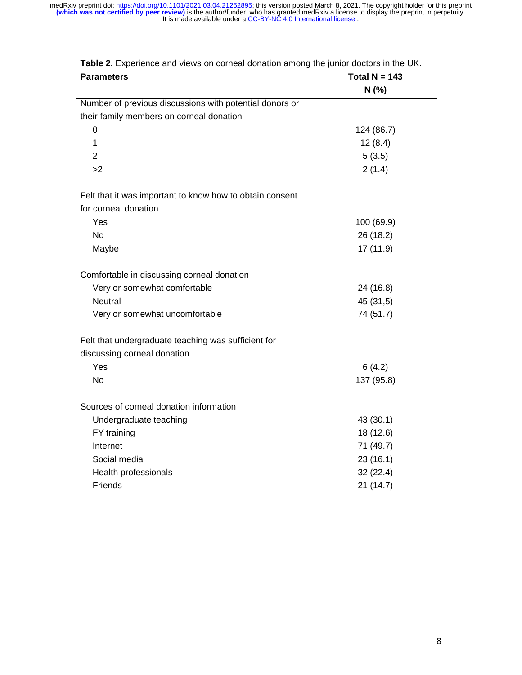| N (%)<br>Number of previous discussions with potential donors or<br>their family members on corneal donation<br>$\mathbf 0$<br>124 (86.7)<br>$\mathbf 1$<br>12(8.4)<br>$\overline{2}$<br>5(3.5)<br>>2<br>2(1.4)<br>Felt that it was important to know how to obtain consent<br>for corneal donation<br>Yes<br>100 (69.9)<br><b>No</b><br>26 (18.2)<br>17 (11.9)<br>Maybe<br>Comfortable in discussing corneal donation<br>Very or somewhat comfortable<br>24 (16.8)<br><b>Neutral</b><br>45 (31,5)<br>74 (51.7)<br>Very or somewhat uncomfortable<br>Felt that undergraduate teaching was sufficient for<br>discussing corneal donation<br>Yes<br>6(4.2)<br><b>No</b><br>137 (95.8)<br>Sources of corneal donation information<br>Undergraduate teaching<br>43 (30.1)<br>FY training<br>18 (12.6)<br>Internet<br>71 (49.7)<br>Social media<br>23(16.1)<br>Health professionals<br>32(22.4)<br>Friends<br>21(14.7) | <b>Parameters</b> | Total N = $\overline{143}$ |
|-------------------------------------------------------------------------------------------------------------------------------------------------------------------------------------------------------------------------------------------------------------------------------------------------------------------------------------------------------------------------------------------------------------------------------------------------------------------------------------------------------------------------------------------------------------------------------------------------------------------------------------------------------------------------------------------------------------------------------------------------------------------------------------------------------------------------------------------------------------------------------------------------------------------|-------------------|----------------------------|
|                                                                                                                                                                                                                                                                                                                                                                                                                                                                                                                                                                                                                                                                                                                                                                                                                                                                                                                   |                   |                            |
|                                                                                                                                                                                                                                                                                                                                                                                                                                                                                                                                                                                                                                                                                                                                                                                                                                                                                                                   |                   |                            |
|                                                                                                                                                                                                                                                                                                                                                                                                                                                                                                                                                                                                                                                                                                                                                                                                                                                                                                                   |                   |                            |
|                                                                                                                                                                                                                                                                                                                                                                                                                                                                                                                                                                                                                                                                                                                                                                                                                                                                                                                   |                   |                            |
|                                                                                                                                                                                                                                                                                                                                                                                                                                                                                                                                                                                                                                                                                                                                                                                                                                                                                                                   |                   |                            |
|                                                                                                                                                                                                                                                                                                                                                                                                                                                                                                                                                                                                                                                                                                                                                                                                                                                                                                                   |                   |                            |
|                                                                                                                                                                                                                                                                                                                                                                                                                                                                                                                                                                                                                                                                                                                                                                                                                                                                                                                   |                   |                            |
|                                                                                                                                                                                                                                                                                                                                                                                                                                                                                                                                                                                                                                                                                                                                                                                                                                                                                                                   |                   |                            |
|                                                                                                                                                                                                                                                                                                                                                                                                                                                                                                                                                                                                                                                                                                                                                                                                                                                                                                                   |                   |                            |
|                                                                                                                                                                                                                                                                                                                                                                                                                                                                                                                                                                                                                                                                                                                                                                                                                                                                                                                   |                   |                            |
|                                                                                                                                                                                                                                                                                                                                                                                                                                                                                                                                                                                                                                                                                                                                                                                                                                                                                                                   |                   |                            |
|                                                                                                                                                                                                                                                                                                                                                                                                                                                                                                                                                                                                                                                                                                                                                                                                                                                                                                                   |                   |                            |
|                                                                                                                                                                                                                                                                                                                                                                                                                                                                                                                                                                                                                                                                                                                                                                                                                                                                                                                   |                   |                            |
|                                                                                                                                                                                                                                                                                                                                                                                                                                                                                                                                                                                                                                                                                                                                                                                                                                                                                                                   |                   |                            |
|                                                                                                                                                                                                                                                                                                                                                                                                                                                                                                                                                                                                                                                                                                                                                                                                                                                                                                                   |                   |                            |
|                                                                                                                                                                                                                                                                                                                                                                                                                                                                                                                                                                                                                                                                                                                                                                                                                                                                                                                   |                   |                            |
|                                                                                                                                                                                                                                                                                                                                                                                                                                                                                                                                                                                                                                                                                                                                                                                                                                                                                                                   |                   |                            |
|                                                                                                                                                                                                                                                                                                                                                                                                                                                                                                                                                                                                                                                                                                                                                                                                                                                                                                                   |                   |                            |
|                                                                                                                                                                                                                                                                                                                                                                                                                                                                                                                                                                                                                                                                                                                                                                                                                                                                                                                   |                   |                            |
|                                                                                                                                                                                                                                                                                                                                                                                                                                                                                                                                                                                                                                                                                                                                                                                                                                                                                                                   |                   |                            |
|                                                                                                                                                                                                                                                                                                                                                                                                                                                                                                                                                                                                                                                                                                                                                                                                                                                                                                                   |                   |                            |
|                                                                                                                                                                                                                                                                                                                                                                                                                                                                                                                                                                                                                                                                                                                                                                                                                                                                                                                   |                   |                            |
|                                                                                                                                                                                                                                                                                                                                                                                                                                                                                                                                                                                                                                                                                                                                                                                                                                                                                                                   |                   |                            |
|                                                                                                                                                                                                                                                                                                                                                                                                                                                                                                                                                                                                                                                                                                                                                                                                                                                                                                                   |                   |                            |
|                                                                                                                                                                                                                                                                                                                                                                                                                                                                                                                                                                                                                                                                                                                                                                                                                                                                                                                   |                   |                            |
|                                                                                                                                                                                                                                                                                                                                                                                                                                                                                                                                                                                                                                                                                                                                                                                                                                                                                                                   |                   |                            |
|                                                                                                                                                                                                                                                                                                                                                                                                                                                                                                                                                                                                                                                                                                                                                                                                                                                                                                                   |                   |                            |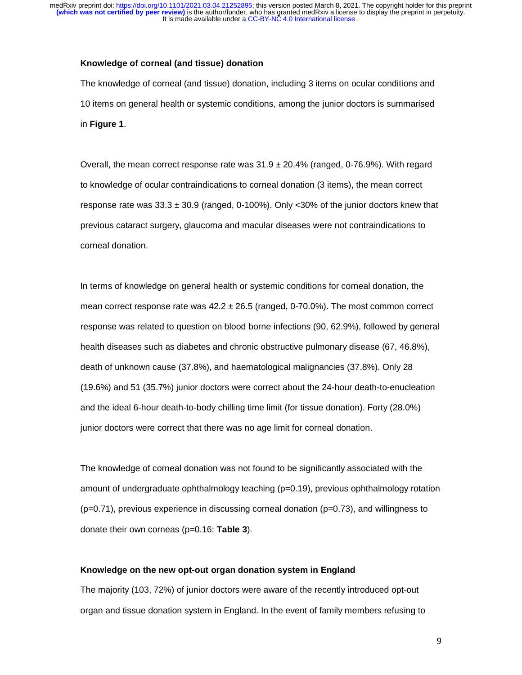#### **Knowledge of corneal (and tissue) donation**

The knowledge of corneal (and tissue) donation, including 3 items on ocular conditions and 10 items on general health or systemic conditions, among the junior doctors is summarised in **Figure 1**.

Overall, the mean correct response rate was  $31.9 \pm 20.4\%$  (ranged, 0-76.9%). With regard to knowledge of ocular contraindications to corneal donation (3 items), the mean correct response rate was  $33.3 \pm 30.9$  (ranged, 0-100%). Only <30% of the junior doctors knew that previous cataract surgery, glaucoma and macular diseases were not contraindications to corneal donation.

In terms of knowledge on general health or systemic conditions for corneal donation, the mean correct response rate was  $42.2 \pm 26.5$  (ranged, 0-70.0%). The most common correct response was related to question on blood borne infections (90, 62.9%), followed by general health diseases such as diabetes and chronic obstructive pulmonary disease (67, 46.8%), death of unknown cause (37.8%), and haematological malignancies (37.8%). Only 28 (19.6%) and 51 (35.7%) junior doctors were correct about the 24-hour death-to-enucleation and the ideal 6-hour death-to-body chilling time limit (for tissue donation). Forty (28.0%) junior doctors were correct that there was no age limit for corneal donation.

The knowledge of corneal donation was not found to be significantly associated with the amount of undergraduate ophthalmology teaching (p=0.19), previous ophthalmology rotation (p=0.71), previous experience in discussing corneal donation (p=0.73), and willingness to donate their own corneas (p=0.16; **Table 3**).

#### **Knowledge on the new opt-out organ donation system in England**

The majority (103, 72%) of junior doctors were aware of the recently introduced opt-out organ and tissue donation system in England. In the event of family members refusing to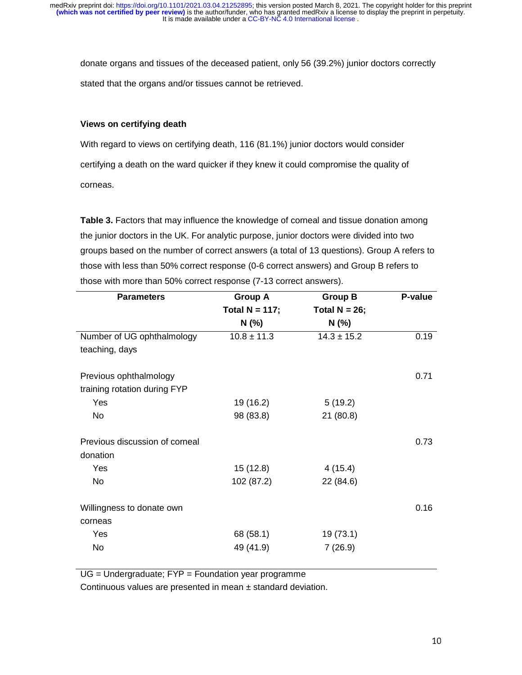donate organs and tissues of the deceased patient, only 56 (39.2%) junior doctors correctly stated that the organs and/or tissues cannot be retrieved.

# **Views on certifying death**

With regard to views on certifying death, 116 (81.1%) junior doctors would consider certifying a death on the ward quicker if they knew it could compromise the quality of corneas.

**Table 3.** Factors that may influence the knowledge of corneal and tissue donation among the junior doctors in the UK. For analytic purpose, junior doctors were divided into two groups based on the number of correct answers (a total of 13 questions). Group A refers to those with less than 50% correct response (0-6 correct answers) and Group B refers to those with more than 50% correct response (7-13 correct answers).

| <b>Parameters</b>              | <b>Group A</b>    | <b>Group B</b>   | P-value |
|--------------------------------|-------------------|------------------|---------|
|                                | Total $N = 117$ ; | Total $N = 26$ ; |         |
|                                | N (%)             | $N$ (%)          |         |
| Number of UG ophthalmology     | $10.8 \pm 11.3$   | $14.3 \pm 15.2$  | 0.19    |
| teaching, days                 |                   |                  |         |
| Previous ophthalmology         |                   |                  | 0.71    |
| training rotation during FYP   |                   |                  |         |
| Yes                            | 19 (16.2)         | 5(19.2)          |         |
| No                             | 98 (83.8)         | 21(80.8)         |         |
| Previous discussion of corneal |                   |                  | 0.73    |
| donation                       |                   |                  |         |
| Yes                            | 15(12.8)          | 4(15.4)          |         |
| <b>No</b>                      | 102 (87.2)        | 22 (84.6)        |         |
| Willingness to donate own      |                   |                  | 0.16    |
| corneas                        |                   |                  |         |
| Yes                            | 68 (58.1)         | 19(73.1)         |         |
| No                             | 49 (41.9)         | 7(26.9)          |         |

UG = Undergraduate; FYP = Foundation year programme

Continuous values are presented in mean ± standard deviation.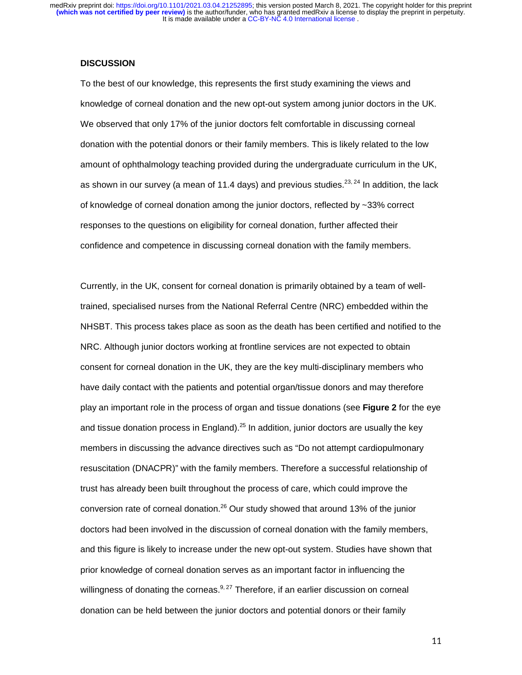#### **DISCUSSION**

To the best of our knowledge, this represents the first study examining the views and knowledge of corneal donation and the new opt-out system among junior doctors in the UK. We observed that only 17% of the junior doctors felt comfortable in discussing corneal donation with the potential donors or their family members. This is likely related to the low amount of ophthalmology teaching provided during the undergraduate curriculum in the UK, as shown in our survey (a mean of 11.4 days) and previous studies.<sup>23, 24</sup> In addition, the lack of knowledge of corneal donation among the junior doctors, reflected by ~33% correct responses to the questions on eligibility for corneal donation, further affected their confidence and competence in discussing corneal donation with the family members.

Currently, in the UK, consent for corneal donation is primarily obtained by a team of welltrained, specialised nurses from the National Referral Centre (NRC) embedded within the NHSBT. This process takes place as soon as the death has been certified and notified to the NRC. Although junior doctors working at frontline services are not expected to obtain consent for corneal donation in the UK, they are the key multi-disciplinary members who have daily contact with the patients and potential organ/tissue donors and may therefore play an important role in the process of organ and tissue donations (see **Figure 2** for the eye and tissue donation process in England).<sup>25</sup> In addition, junior doctors are usually the key members in discussing the advance directives such as "Do not attempt cardiopulmonary resuscitation (DNACPR)" with the family members. Therefore a successful relationship of trust has already been built throughout the process of care, which could improve the conversion rate of corneal donation.<sup>26</sup> Our study showed that around 13% of the junior doctors had been involved in the discussion of corneal donation with the family members, and this figure is likely to increase under the new opt-out system. Studies have shown that prior knowledge of corneal donation serves as an important factor in influencing the willingness of donating the corneas. $9.27$  Therefore, if an earlier discussion on corneal donation can be held between the junior doctors and potential donors or their family

111 - Andrew Maria (1911), a che alla contratta della contratta della contratta della contratta della contratt<br>111 - Andrew Maria (1911), a che alla contratta della contratta della contratta della contratta della contratt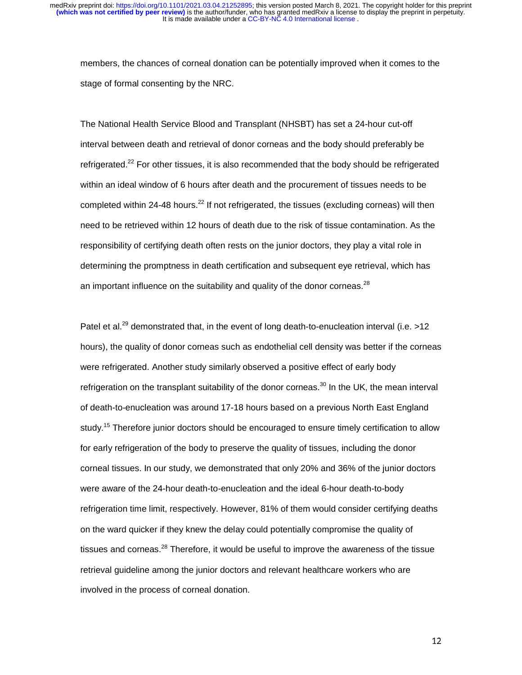members, the chances of corneal donation can be potentially improved when it comes to the stage of formal consenting by the NRC.

The National Health Service Blood and Transplant (NHSBT) has set a 24-hour cut-off interval between death and retrieval of donor corneas and the body should preferably be refrigerated.<sup>22</sup> For other tissues, it is also recommended that the body should be refrigerated within an ideal window of 6 hours after death and the procurement of tissues needs to be completed within 24-48 hours.<sup>22</sup> If not refrigerated, the tissues (excluding corneas) will then need to be retrieved within 12 hours of death due to the risk of tissue contamination. As the responsibility of certifying death often rests on the junior doctors, they play a vital role in determining the promptness in death certification and subsequent eye retrieval, which has an important influence on the suitability and quality of the donor corneas.<sup>28</sup>

Patel et al.<sup>29</sup> demonstrated that, in the event of long death-to-enucleation interval (i.e. >12 hours), the quality of donor corneas such as endothelial cell density was better if the corneas were refrigerated. Another study similarly observed a positive effect of early body refrigeration on the transplant suitability of the donor corneas.<sup>30</sup> In the UK, the mean interval of death-to-enucleation was around 17-18 hours based on a previous North East England study.<sup>15</sup> Therefore junior doctors should be encouraged to ensure timely certification to allow for early refrigeration of the body to preserve the quality of tissues, including the donor corneal tissues. In our study, we demonstrated that only 20% and 36% of the junior doctors were aware of the 24-hour death-to-enucleation and the ideal 6-hour death-to-body refrigeration time limit, respectively. However, 81% of them would consider certifying deaths on the ward quicker if they knew the delay could potentially compromise the quality of tissues and corneas. $28$  Therefore, it would be useful to improve the awareness of the tissue retrieval guideline among the junior doctors and relevant healthcare workers who are involved in the process of corneal donation.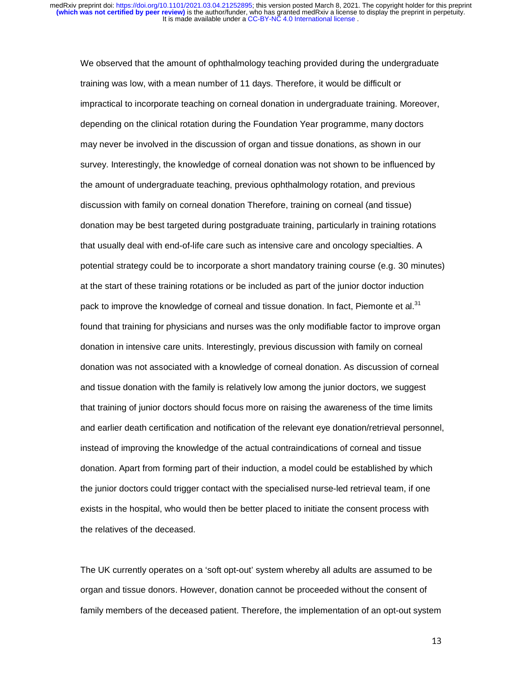We observed that the amount of ophthalmology teaching provided during the undergraduate training was low, with a mean number of 11 days. Therefore, it would be difficult or impractical to incorporate teaching on corneal donation in undergraduate training. Moreover, depending on the clinical rotation during the Foundation Year programme, many doctors may never be involved in the discussion of organ and tissue donations, as shown in our survey. Interestingly, the knowledge of corneal donation was not shown to be influenced by the amount of undergraduate teaching, previous ophthalmology rotation, and previous discussion with family on corneal donation Therefore, training on corneal (and tissue) donation may be best targeted during postgraduate training, particularly in training rotations that usually deal with end-of-life care such as intensive care and oncology specialties. A potential strategy could be to incorporate a short mandatory training course (e.g. 30 minutes) at the start of these training rotations or be included as part of the junior doctor induction pack to improve the knowledge of corneal and tissue donation. In fact, Piemonte et al.<sup>31</sup> found that training for physicians and nurses was the only modifiable factor to improve organ donation in intensive care units. Interestingly, previous discussion with family on corneal donation was not associated with a knowledge of corneal donation. As discussion of corneal and tissue donation with the family is relatively low among the junior doctors, we suggest that training of junior doctors should focus more on raising the awareness of the time limits and earlier death certification and notification of the relevant eye donation/retrieval personnel, instead of improving the knowledge of the actual contraindications of corneal and tissue donation. Apart from forming part of their induction, a model could be established by which the junior doctors could trigger contact with the specialised nurse-led retrieval team, if one exists in the hospital, who would then be better placed to initiate the consent process with the relatives of the deceased.

The UK currently operates on a 'soft opt-out' system whereby all adults are assumed to be organ and tissue donors. However, donation cannot be proceeded without the consent of family members of the deceased patient. Therefore, the implementation of an opt-out system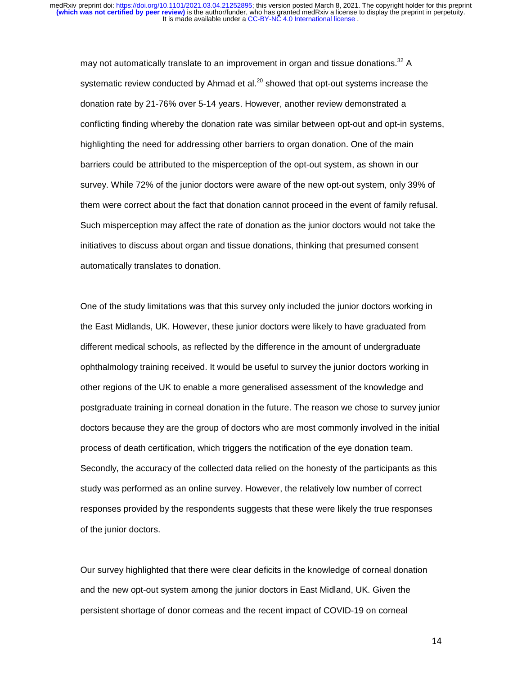may not automatically translate to an improvement in organ and tissue donations. $32$  A systematic review conducted by Ahmad et al. $^{20}$  showed that opt-out systems increase the donation rate by 21-76% over 5-14 years. However, another review demonstrated a conflicting finding whereby the donation rate was similar between opt-out and opt-in systems, highlighting the need for addressing other barriers to organ donation. One of the main barriers could be attributed to the misperception of the opt-out system, as shown in our survey. While 72% of the junior doctors were aware of the new opt-out system, only 39% of them were correct about the fact that donation cannot proceed in the event of family refusal. Such misperception may affect the rate of donation as the junior doctors would not take the initiatives to discuss about organ and tissue donations, thinking that presumed consent automatically translates to donation.

One of the study limitations was that this survey only included the junior doctors working in the East Midlands, UK. However, these junior doctors were likely to have graduated from different medical schools, as reflected by the difference in the amount of undergraduate ophthalmology training received. It would be useful to survey the junior doctors working in other regions of the UK to enable a more generalised assessment of the knowledge and postgraduate training in corneal donation in the future. The reason we chose to survey junior doctors because they are the group of doctors who are most commonly involved in the initial process of death certification, which triggers the notification of the eye donation team. Secondly, the accuracy of the collected data relied on the honesty of the participants as this study was performed as an online survey. However, the relatively low number of correct responses provided by the respondents suggests that these were likely the true responses of the junior doctors.

Our survey highlighted that there were clear deficits in the knowledge of corneal donation and the new opt-out system among the junior doctors in East Midland, UK. Given the persistent shortage of donor corneas and the recent impact of COVID-19 on corneal

14 - Animal Alexandria de Alexandria de Santo de Alexandria de Santo de Alexandria de Santo de Alexandria de<br>14 - Animal Alexandria de Alexandria de Santo de Alexandria de Santo de Alexandria de Santo de Alexandria de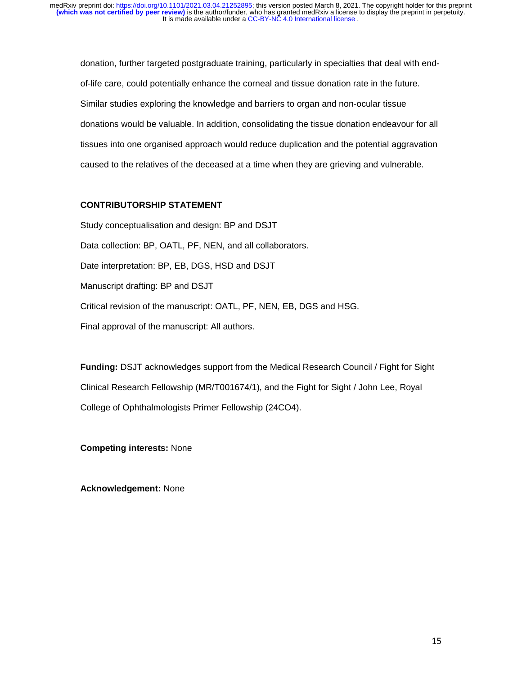donation, further targeted postgraduate training, particularly in specialties that deal with endof-life care, could potentially enhance the corneal and tissue donation rate in the future. Similar studies exploring the knowledge and barriers to organ and non-ocular tissue donations would be valuable. In addition, consolidating the tissue donation endeavour for all tissues into one organised approach would reduce duplication and the potential aggravation caused to the relatives of the deceased at a time when they are grieving and vulnerable.

# **CONTRIBUTORSHIP STATEMENT**

Study conceptualisation and design: BP and DSJT Data collection: BP, OATL, PF, NEN, and all collaborators. Date interpretation: BP, EB, DGS, HSD and DSJT Manuscript drafting: BP and DSJT Critical revision of the manuscript: OATL, PF, NEN, EB, DGS and HSG. Final approval of the manuscript: All authors.

**Funding:** DSJT acknowledges support from the Medical Research Council / Fight for Sight Clinical Research Fellowship (MR/T001674/1), and the Fight for Sight / John Lee, Royal College of Ophthalmologists Primer Fellowship (24CO4).

**Competing interests:** None

**Acknowledgement:** None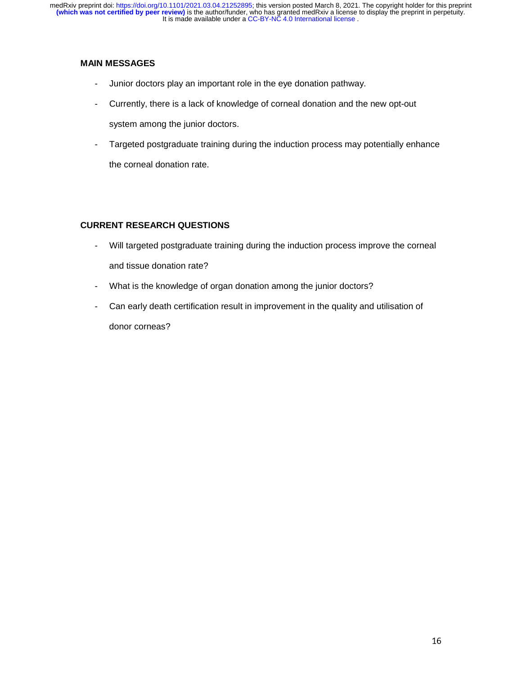# **MAIN MESSAGES**

- Junior doctors play an important role in the eye donation pathway.
- Currently, there is a lack of knowledge of corneal donation and the new opt-out system among the junior doctors.
- Targeted postgraduate training during the induction process may potentially enhance the corneal donation rate.

# **CURRENT RESEARCH QUESTIONS**

- Will targeted postgraduate training during the induction process improve the corneal and tissue donation rate?
- What is the knowledge of organ donation among the junior doctors?
- Can early death certification result in improvement in the quality and utilisation of donor corneas?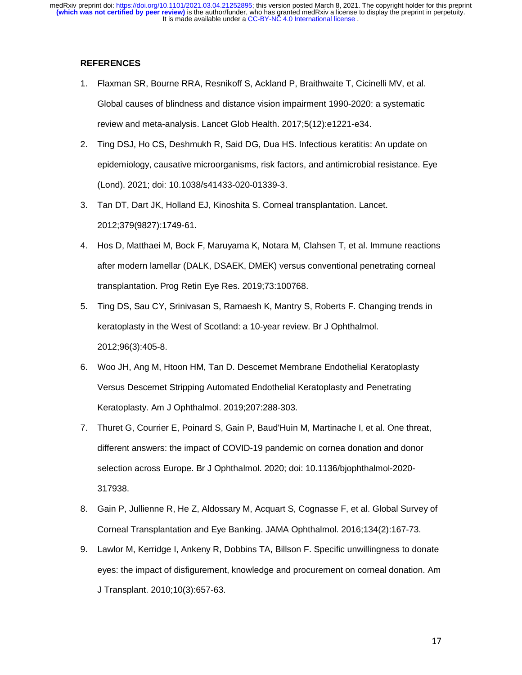#### **REFERENCES**

- 1. Flaxman SR, Bourne RRA, Resnikoff S, Ackland P, Braithwaite T, Cicinelli MV, et al. Global causes of blindness and distance vision impairment 1990-2020: a systematic review and meta-analysis. Lancet Glob Health. 2017;5(12):e1221-e34.
- 2. Ting DSJ, Ho CS, Deshmukh R, Said DG, Dua HS. Infectious keratitis: An update on epidemiology, causative microorganisms, risk factors, and antimicrobial resistance. Eye (Lond). 2021; doi: 10.1038/s41433-020-01339-3.
- 3. Tan DT, Dart JK, Holland EJ, Kinoshita S. Corneal transplantation. Lancet. 2012;379(9827):1749-61.
- 4. Hos D, Matthaei M, Bock F, Maruyama K, Notara M, Clahsen T, et al. Immune reactions after modern lamellar (DALK, DSAEK, DMEK) versus conventional penetrating corneal transplantation. Prog Retin Eye Res. 2019;73:100768.
- 5. Ting DS, Sau CY, Srinivasan S, Ramaesh K, Mantry S, Roberts F. Changing trends in keratoplasty in the West of Scotland: a 10-year review. Br J Ophthalmol. 2012;96(3):405-8.
- 6. Woo JH, Ang M, Htoon HM, Tan D. Descemet Membrane Endothelial Keratoplasty Versus Descemet Stripping Automated Endothelial Keratoplasty and Penetrating Keratoplasty. Am J Ophthalmol. 2019;207:288-303.
- 7. Thuret G, Courrier E, Poinard S, Gain P, Baud'Huin M, Martinache I, et al. One threat, different answers: the impact of COVID-19 pandemic on cornea donation and donor selection across Europe. Br J Ophthalmol. 2020; doi: 10.1136/bjophthalmol-2020- 317938.
- 8. Gain P, Jullienne R, He Z, Aldossary M, Acquart S, Cognasse F, et al. Global Survey of Corneal Transplantation and Eye Banking. JAMA Ophthalmol. 2016;134(2):167-73.
- 9. Lawlor M, Kerridge I, Ankeny R, Dobbins TA, Billson F. Specific unwillingness to donate eyes: the impact of disfigurement, knowledge and procurement on corneal donation. Am J Transplant. 2010;10(3):657-63.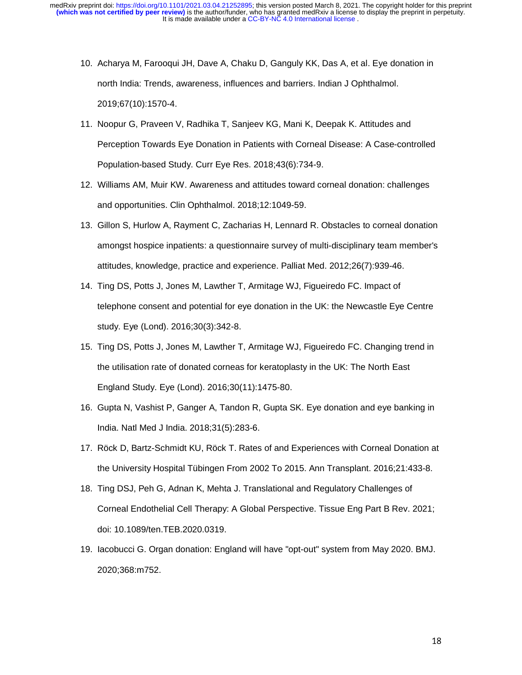- 10. Acharya M, Farooqui JH, Dave A, Chaku D, Ganguly KK, Das A, et al. Eye donation in north India: Trends, awareness, influences and barriers. Indian J Ophthalmol. 2019;67(10):1570-4.
- 11. Noopur G, Praveen V, Radhika T, Sanjeev KG, Mani K, Deepak K. Attitudes and Perception Towards Eye Donation in Patients with Corneal Disease: A Case-controlled Population-based Study. Curr Eye Res. 2018;43(6):734-9.
- 12. Williams AM, Muir KW. Awareness and attitudes toward corneal donation: challenges and opportunities. Clin Ophthalmol. 2018;12:1049-59.
- 13. Gillon S, Hurlow A, Rayment C, Zacharias H, Lennard R. Obstacles to corneal donation amongst hospice inpatients: a questionnaire survey of multi-disciplinary team member's attitudes, knowledge, practice and experience. Palliat Med. 2012;26(7):939-46.
- 14. Ting DS, Potts J, Jones M, Lawther T, Armitage WJ, Figueiredo FC. Impact of telephone consent and potential for eye donation in the UK: the Newcastle Eye Centre study. Eye (Lond). 2016;30(3):342-8.
- 15. Ting DS, Potts J, Jones M, Lawther T, Armitage WJ, Figueiredo FC. Changing trend in the utilisation rate of donated corneas for keratoplasty in the UK: The North East England Study. Eye (Lond). 2016;30(11):1475-80.
- 16. Gupta N, Vashist P, Ganger A, Tandon R, Gupta SK. Eye donation and eye banking in India. Natl Med J India. 2018;31(5):283-6.
- 17. Röck D, Bartz-Schmidt KU, Röck T. Rates of and Experiences with Corneal Donation at the University Hospital Tübingen From 2002 To 2015. Ann Transplant. 2016;21:433-8.
- 18. Ting DSJ, Peh G, Adnan K, Mehta J. Translational and Regulatory Challenges of Corneal Endothelial Cell Therapy: A Global Perspective. Tissue Eng Part B Rev. 2021; doi: 10.1089/ten.TEB.2020.0319.
- 19. Iacobucci G. Organ donation: England will have "opt-out" system from May 2020. BMJ. 2020;368:m752.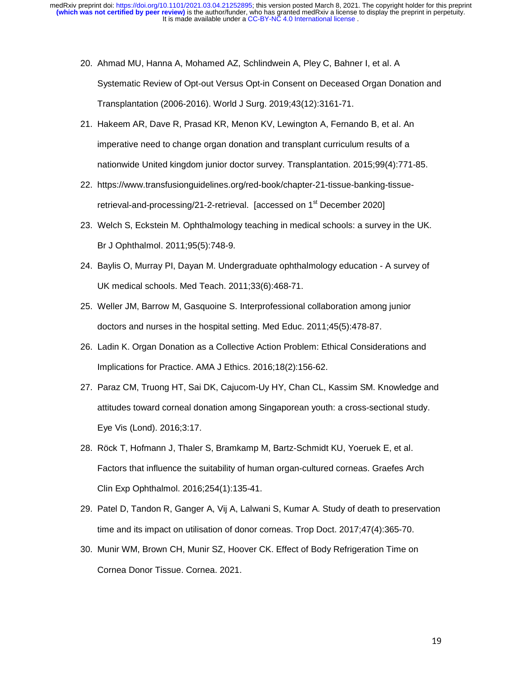- 20. Ahmad MU, Hanna A, Mohamed AZ, Schlindwein A, Pley C, Bahner I, et al. A Systematic Review of Opt-out Versus Opt-in Consent on Deceased Organ Donation and Transplantation (2006-2016). World J Surg. 2019;43(12):3161-71.
- 21. Hakeem AR, Dave R, Prasad KR, Menon KV, Lewington A, Fernando B, et al. An imperative need to change organ donation and transplant curriculum results of a nationwide United kingdom junior doctor survey. Transplantation. 2015;99(4):771-85.
- 22. https://www.transfusionguidelines.org/red-book/chapter-21-tissue-banking-tissueretrieval-and-processing/21-2-retrieval. [accessed on 1<sup>st</sup> December 2020]
- 23. Welch S, Eckstein M. Ophthalmology teaching in medical schools: a survey in the UK. Br J Ophthalmol. 2011;95(5):748-9.
- 24. Baylis O, Murray PI, Dayan M. Undergraduate ophthalmology education A survey of UK medical schools. Med Teach. 2011;33(6):468-71.
- 25. Weller JM, Barrow M, Gasquoine S. Interprofessional collaboration among junior doctors and nurses in the hospital setting. Med Educ. 2011;45(5):478-87.
- 26. Ladin K. Organ Donation as a Collective Action Problem: Ethical Considerations and Implications for Practice. AMA J Ethics. 2016;18(2):156-62.
- 27. Paraz CM, Truong HT, Sai DK, Cajucom-Uy HY, Chan CL, Kassim SM. Knowledge and attitudes toward corneal donation among Singaporean youth: a cross-sectional study. Eye Vis (Lond). 2016;3:17.
- 28. Röck T, Hofmann J, Thaler S, Bramkamp M, Bartz-Schmidt KU, Yoeruek E, et al. Factors that influence the suitability of human organ-cultured corneas. Graefes Arch Clin Exp Ophthalmol. 2016;254(1):135-41.
- 29. Patel D, Tandon R, Ganger A, Vij A, Lalwani S, Kumar A. Study of death to preservation time and its impact on utilisation of donor corneas. Trop Doct. 2017;47(4):365-70.
- 30. Munir WM, Brown CH, Munir SZ, Hoover CK. Effect of Body Refrigeration Time on Cornea Donor Tissue. Cornea. 2021.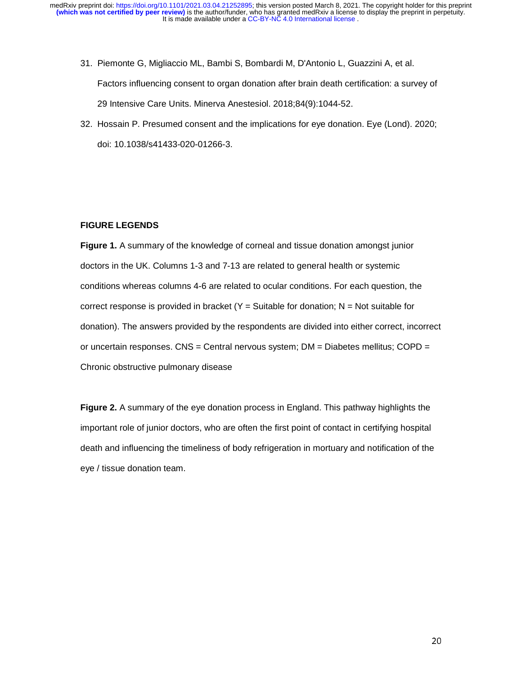- 31. Piemonte G, Migliaccio ML, Bambi S, Bombardi M, D'Antonio L, Guazzini A, et al. Factors influencing consent to organ donation after brain death certification: a survey of 29 Intensive Care Units. Minerva Anestesiol. 2018;84(9):1044-52.
- 32. Hossain P. Presumed consent and the implications for eye donation. Eye (Lond). 2020; doi: 10.1038/s41433-020-01266-3.

## **FIGURE LEGENDS**

**Figure 1.** A summary of the knowledge of corneal and tissue donation amongst junior doctors in the UK. Columns 1-3 and 7-13 are related to general health or systemic conditions whereas columns 4-6 are related to ocular conditions. For each question, the correct response is provided in bracket  $(Y = S$ uitable for donation; N = Not suitable for donation). The answers provided by the respondents are divided into either correct, incorrect or uncertain responses.  $CNS = Central$  nervous system;  $DM = Diabetes$  mellitus;  $COPD =$ Chronic obstructive pulmonary disease

**Figure 2.** A summary of the eye donation process in England. This pathway highlights the important role of junior doctors, who are often the first point of contact in certifying hospital death and influencing the timeliness of body refrigeration in mortuary and notification of the eye / tissue donation team.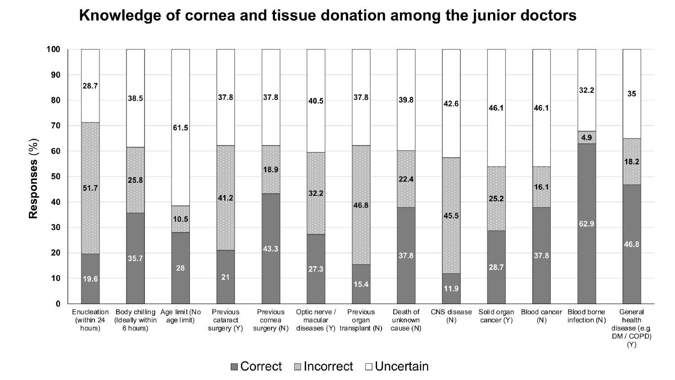# Knowledge of cornea and tissue donation among the junior doctors



 $\blacksquare$  Correct  $\blacksquare$  Incorrect  $\Box$  Uncertain